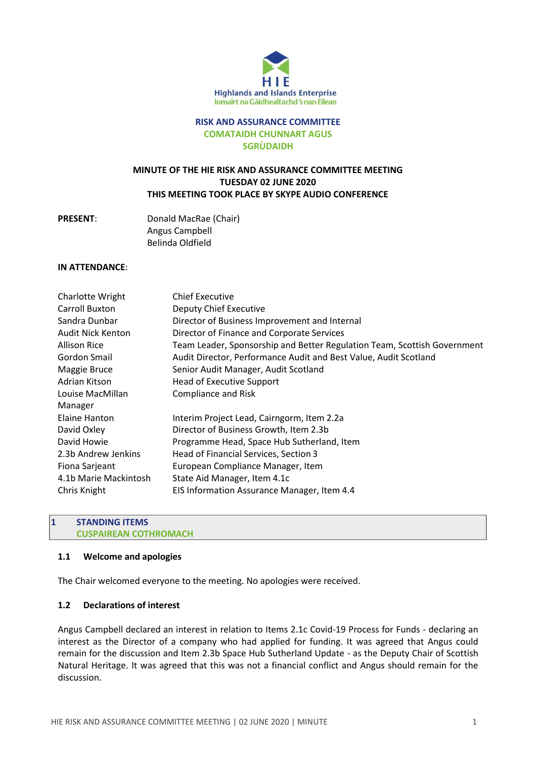

#### **RISK AND ASSURANCE COMMITTEE COMATAIDH CHUNNART AGUS SGRÙDAIDH**

# **MINUTE OF THE HIE RISK AND ASSURANCE COMMITTEE MEETING TUESDAY 02 JUNE 2020 THIS MEETING TOOK PLACE BY SKYPE AUDIO CONFERENCE**

## **PRESENT**: Donald MacRae (Chair) Angus Campbell Belinda Oldfield

#### **IN ATTENDANCE**:

| Charlotte Wright      | <b>Chief Executive</b>                                                   |
|-----------------------|--------------------------------------------------------------------------|
| Carroll Buxton        | <b>Deputy Chief Executive</b>                                            |
| Sandra Dunbar         | Director of Business Improvement and Internal                            |
| Audit Nick Kenton     | Director of Finance and Corporate Services                               |
| <b>Allison Rice</b>   | Team Leader, Sponsorship and Better Regulation Team, Scottish Government |
| Gordon Smail          | Audit Director, Performance Audit and Best Value, Audit Scotland         |
| Maggie Bruce          | Senior Audit Manager, Audit Scotland                                     |
| Adrian Kitson         | <b>Head of Executive Support</b>                                         |
| Louise MacMillan      | <b>Compliance and Risk</b>                                               |
| Manager               |                                                                          |
| Elaine Hanton         | Interim Project Lead, Cairngorm, Item 2.2a                               |
| David Oxley           | Director of Business Growth, Item 2.3b                                   |
| David Howie           | Programme Head, Space Hub Sutherland, Item                               |
| 2.3b Andrew Jenkins   | Head of Financial Services, Section 3                                    |
| Fiona Sarjeant        | European Compliance Manager, Item                                        |
| 4.1b Marie Mackintosh | State Aid Manager, Item 4.1c                                             |
| Chris Knight          | EIS Information Assurance Manager, Item 4.4                              |

#### **1 STANDING ITEMS CUSPAIREAN COTHROMACH**

### **1.1 Welcome and apologies**

The Chair welcomed everyone to the meeting. No apologies were received.

### **1.2 Declarations of interest**

Angus Campbell declared an interest in relation to Items 2.1c Covid-19 Process for Funds - declaring an interest as the Director of a company who had applied for funding. It was agreed that Angus could remain for the discussion and Item 2.3b Space Hub Sutherland Update - as the Deputy Chair of Scottish Natural Heritage. It was agreed that this was not a financial conflict and Angus should remain for the discussion.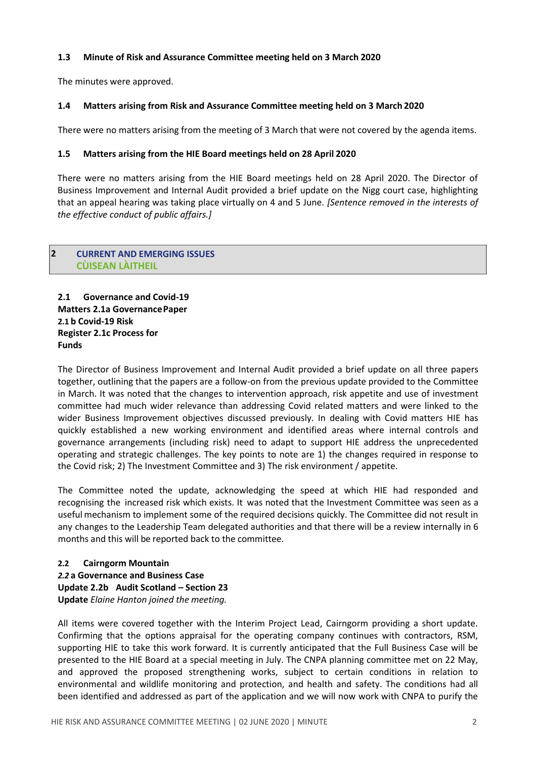### **1.3 Minute of Risk and Assurance Committee meeting held on 3 March 2020**

The minutes were approved.

## **1.4 Matters arising from Risk and Assurance Committee meeting held on 3 March 2020**

There were no matters arising from the meeting of 3 March that were not covered by the agenda items.

### **1.5 Matters arising from the HIE Board meetings held on 28 April 2020**

There were no matters arising from the HIE Board meetings held on 28 April 2020. The Director of Business Improvement and Internal Audit provided a brief update on the Nigg court case, highlighting that an appeal hearing was taking place virtually on 4 and 5 June. *[Sentence removed in the interests of the effective conduct of public affairs.]*

### **2 CURRENT AND EMERGING ISSUES CÙISEAN LÀITHEIL**

**2.1 Governance and Covid-19 Matters 2.1a GovernancePaper 2.1 b Covid-19 Risk Register 2.1c Process for Funds**

The Director of Business Improvement and Internal Audit provided a brief update on all three papers together, outlining that the papers are a follow-on from the previous update provided to the Committee in March. It was noted that the changes to intervention approach, risk appetite and use of investment committee had much wider relevance than addressing Covid related matters and were linked to the wider Business Improvement objectives discussed previously. In dealing with Covid matters HIE has quickly established a new working environment and identified areas where internal controls and governance arrangements (including risk) need to adapt to support HIE address the unprecedented operating and strategic challenges. The key points to note are 1) the changes required in response to the Covid risk; 2) The Investment Committee and 3) The risk environment / appetite.

The Committee noted the update, acknowledging the speed at which HIE had responded and recognising the increased risk which exists. It was noted that the Investment Committee was seen as a useful mechanism to implement some of the required decisions quickly. The Committee did not result in any changes to the Leadership Team delegated authorities and that there will be a review internally in 6 months and this will be reported back to the committee.

### **2.2 Cairngorm Mountain**

*2.2* **a Governance and Business Case Update 2.2b Audit Scotland – Section 23 Update** *Elaine Hanton joined the meeting.*

All items were covered together with the Interim Project Lead, Cairngorm providing a short update. Confirming that the options appraisal for the operating company continues with contractors, RSM, supporting HIE to take this work forward. It is currently anticipated that the Full Business Case will be presented to the HIE Board at a special meeting in July. The CNPA planning committee met on 22 May, and approved the proposed strengthening works, subject to certain conditions in relation to environmental and wildlife monitoring and protection, and health and safety. The conditions had all been identified and addressed as part of the application and we will now work with CNPA to purify the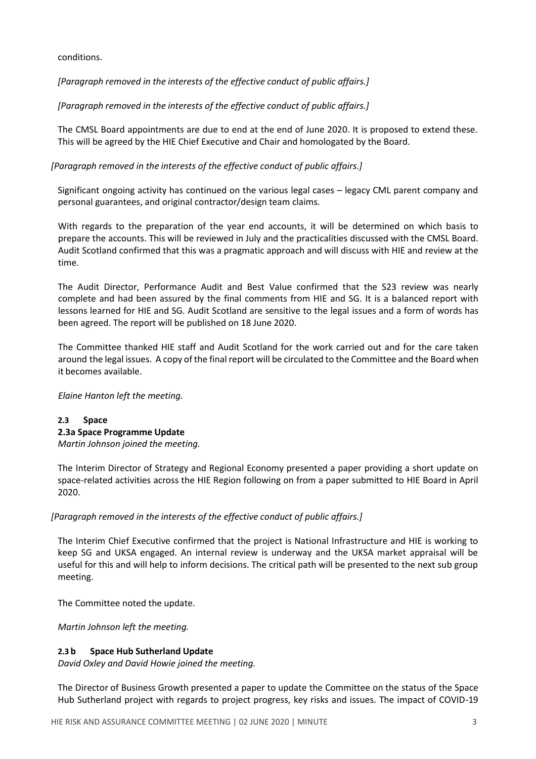### conditions.

*[Paragraph removed in the interests of the effective conduct of public affairs.]*

*[Paragraph removed in the interests of the effective conduct of public affairs.]*

The CMSL Board appointments are due to end at the end of June 2020. It is proposed to extend these. This will be agreed by the HIE Chief Executive and Chair and homologated by the Board.

*[Paragraph removed in the interests of the effective conduct of public affairs.]*

Significant ongoing activity has continued on the various legal cases – legacy CML parent company and personal guarantees, and original contractor/design team claims.

With regards to the preparation of the year end accounts, it will be determined on which basis to prepare the accounts. This will be reviewed in July and the practicalities discussed with the CMSL Board. Audit Scotland confirmed that this was a pragmatic approach and will discuss with HIE and review at the time.

The Audit Director, Performance Audit and Best Value confirmed that the S23 review was nearly complete and had been assured by the final comments from HIE and SG. It is a balanced report with lessons learned for HIE and SG. Audit Scotland are sensitive to the legal issues and a form of words has been agreed. The report will be published on 18 June 2020.

The Committee thanked HIE staff and Audit Scotland for the work carried out and for the care taken around the legal issues. A copy of the final report will be circulated to the Committee and the Board when it becomes available.

*Elaine Hanton left the meeting.*

## **2.3 Space 2.3a Space Programme Update** *Martin Johnson joined the meeting.*

The Interim Director of Strategy and Regional Economy presented a paper providing a short update on space-related activities across the HIE Region following on from a paper submitted to HIE Board in April 2020.

## *[Paragraph removed in the interests of the effective conduct of public affairs.]*

The Interim Chief Executive confirmed that the project is National Infrastructure and HIE is working to keep SG and UKSA engaged. An internal review is underway and the UKSA market appraisal will be useful for this and will help to inform decisions. The critical path will be presented to the next sub group meeting.

The Committee noted the update.

*Martin Johnson left the meeting.*

### **2.3 b Space Hub Sutherland Update**

*David Oxley and David Howie joined the meeting.*

The Director of Business Growth presented a paper to update the Committee on the status of the Space Hub Sutherland project with regards to project progress, key risks and issues. The impact of COVID-19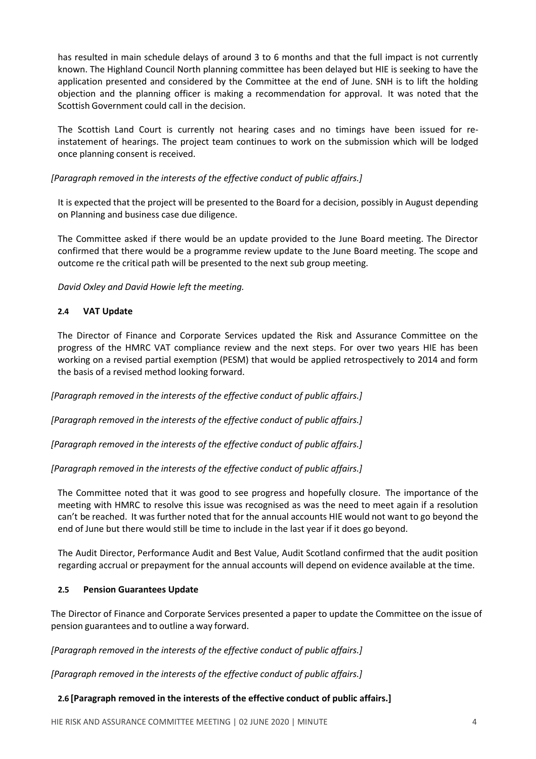has resulted in main schedule delays of around 3 to 6 months and that the full impact is not currently known. The Highland Council North planning committee has been delayed but HIE is seeking to have the application presented and considered by the Committee at the end of June. SNH is to lift the holding objection and the planning officer is making a recommendation for approval. It was noted that the Scottish Government could call in the decision.

The Scottish Land Court is currently not hearing cases and no timings have been issued for reinstatement of hearings. The project team continues to work on the submission which will be lodged once planning consent is received.

## *[Paragraph removed in the interests of the effective conduct of public affairs.]*

It is expected that the project will be presented to the Board for a decision, possibly in August depending on Planning and business case due diligence.

The Committee asked if there would be an update provided to the June Board meeting. The Director confirmed that there would be a programme review update to the June Board meeting. The scope and outcome re the critical path will be presented to the next sub group meeting.

*David Oxley and David Howie left the meeting.*

## **2.4 VAT Update**

The Director of Finance and Corporate Services updated the Risk and Assurance Committee on the progress of the HMRC VAT compliance review and the next steps. For over two years HIE has been working on a revised partial exemption (PESM) that would be applied retrospectively to 2014 and form the basis of a revised method looking forward.

*[Paragraph removed in the interests of the effective conduct of public affairs.]*

*[Paragraph removed in the interests of the effective conduct of public affairs.]*

*[Paragraph removed in the interests of the effective conduct of public affairs.]*

*[Paragraph removed in the interests of the effective conduct of public affairs.]*

The Committee noted that it was good to see progress and hopefully closure. The importance of the meeting with HMRC to resolve this issue was recognised as was the need to meet again if a resolution can't be reached. It was further noted that for the annual accounts HIE would not want to go beyond the end of June but there would still be time to include in the last year if it does go beyond.

The Audit Director, Performance Audit and Best Value, Audit Scotland confirmed that the audit position regarding accrual or prepayment for the annual accounts will depend on evidence available at the time.

## **2.5 Pension Guarantees Update**

The Director of Finance and Corporate Services presented a paper to update the Committee on the issue of pension guarantees and to outline a way forward.

*[Paragraph removed in the interests of the effective conduct of public affairs.]*

*[Paragraph removed in the interests of the effective conduct of public affairs.]*

## **2.6 [Paragraph removed in the interests of the effective conduct of public affairs.]**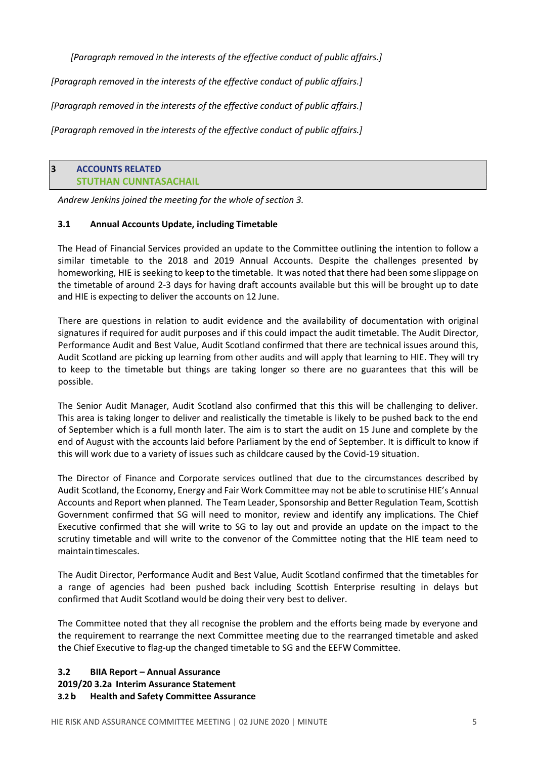*[Paragraph removed in the interests of the effective conduct of public affairs.]*

*[Paragraph removed in the interests of the effective conduct of public affairs.]*

*[Paragraph removed in the interests of the effective conduct of public affairs.]*

*[Paragraph removed in the interests of the effective conduct of public affairs.]*

### **3 ACCOUNTS RELATED STUTHAN CUNNTASACHAIL**

*Andrew Jenkins joined the meeting for the whole of section 3.*

## **3.1 Annual Accounts Update, including Timetable**

The Head of Financial Services provided an update to the Committee outlining the intention to follow a similar timetable to the 2018 and 2019 Annual Accounts. Despite the challenges presented by homeworking, HIE is seeking to keep to the timetable. It was noted that there had been some slippage on the timetable of around 2-3 days for having draft accounts available but this will be brought up to date and HIE is expecting to deliver the accounts on 12 June.

There are questions in relation to audit evidence and the availability of documentation with original signatures if required for audit purposes and if this could impact the audit timetable. The Audit Director, Performance Audit and Best Value, Audit Scotland confirmed that there are technical issues around this, Audit Scotland are picking up learning from other audits and will apply that learning to HIE. They will try to keep to the timetable but things are taking longer so there are no guarantees that this will be possible.

The Senior Audit Manager, Audit Scotland also confirmed that this this will be challenging to deliver. This area is taking longer to deliver and realistically the timetable is likely to be pushed back to the end of September which is a full month later. The aim is to start the audit on 15 June and complete by the end of August with the accounts laid before Parliament by the end of September. It is difficult to know if this will work due to a variety of issues such as childcare caused by the Covid-19 situation.

The Director of Finance and Corporate services outlined that due to the circumstances described by Audit Scotland, the Economy, Energy and Fair Work Committee may not be able to scrutinise HIE's Annual Accounts and Report when planned. The Team Leader, Sponsorship and Better Regulation Team, Scottish Government confirmed that SG will need to monitor, review and identify any implications. The Chief Executive confirmed that she will write to SG to lay out and provide an update on the impact to the scrutiny timetable and will write to the convenor of the Committee noting that the HIE team need to maintaintimescales.

The Audit Director, Performance Audit and Best Value, Audit Scotland confirmed that the timetables for a range of agencies had been pushed back including Scottish Enterprise resulting in delays but confirmed that Audit Scotland would be doing their very best to deliver.

The Committee noted that they all recognise the problem and the efforts being made by everyone and the requirement to rearrange the next Committee meeting due to the rearranged timetable and asked the Chief Executive to flag-up the changed timetable to SG and the EEFW Committee.

### **3.2 BIIA Report – Annual Assurance 2019/20 3.2a Interim Assurance Statement 3.2 b Health and Safety Committee Assurance**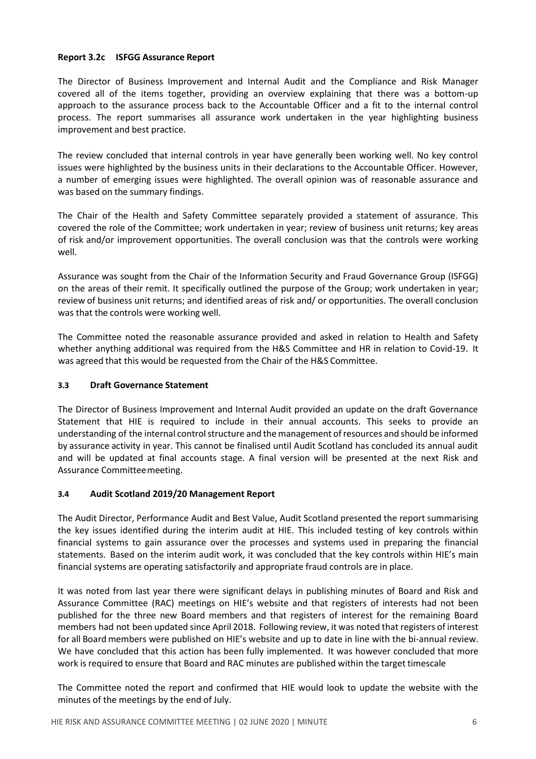### **Report 3.2c ISFGG Assurance Report**

The Director of Business Improvement and Internal Audit and the Compliance and Risk Manager covered all of the items together, providing an overview explaining that there was a bottom-up approach to the assurance process back to the Accountable Officer and a fit to the internal control process. The report summarises all assurance work undertaken in the year highlighting business improvement and best practice.

The review concluded that internal controls in year have generally been working well. No key control issues were highlighted by the business units in their declarations to the Accountable Officer. However, a number of emerging issues were highlighted. The overall opinion was of reasonable assurance and was based on the summary findings.

The Chair of the Health and Safety Committee separately provided a statement of assurance. This covered the role of the Committee; work undertaken in year; review of business unit returns; key areas of risk and/or improvement opportunities. The overall conclusion was that the controls were working well.

Assurance was sought from the Chair of the Information Security and Fraud Governance Group (ISFGG) on the areas of their remit. It specifically outlined the purpose of the Group; work undertaken in year; review of business unit returns; and identified areas of risk and/ or opportunities. The overall conclusion was that the controls were working well.

The Committee noted the reasonable assurance provided and asked in relation to Health and Safety whether anything additional was required from the H&S Committee and HR in relation to Covid-19. It was agreed that this would be requested from the Chair of the H&S Committee.

### **3.3 Draft Governance Statement**

The Director of Business Improvement and Internal Audit provided an update on the draft Governance Statement that HIE is required to include in their annual accounts. This seeks to provide an understanding of the internal control structure and the management of resources and should be informed by assurance activity in year. This cannot be finalised until Audit Scotland has concluded its annual audit and will be updated at final accounts stage. A final version will be presented at the next Risk and Assurance Committeemeeting.

### **3.4 Audit Scotland 2019/20 Management Report**

The Audit Director, Performance Audit and Best Value, Audit Scotland presented the report summarising the key issues identified during the interim audit at HIE. This included testing of key controls within financial systems to gain assurance over the processes and systems used in preparing the financial statements. Based on the interim audit work, it was concluded that the key controls within HIE's main financial systems are operating satisfactorily and appropriate fraud controls are in place.

It was noted from last year there were significant delays in publishing minutes of Board and Risk and Assurance Committee (RAC) meetings on HIE's website and that registers of interests had not been published for the three new Board members and that registers of interest for the remaining Board members had not been updated since April 2018. Following review, it was noted that registers of interest for all Board members were published on HIE's website and up to date in line with the bi-annual review. We have concluded that this action has been fully implemented. It was however concluded that more work is required to ensure that Board and RAC minutes are published within the target timescale

The Committee noted the report and confirmed that HIE would look to update the website with the minutes of the meetings by the end of July.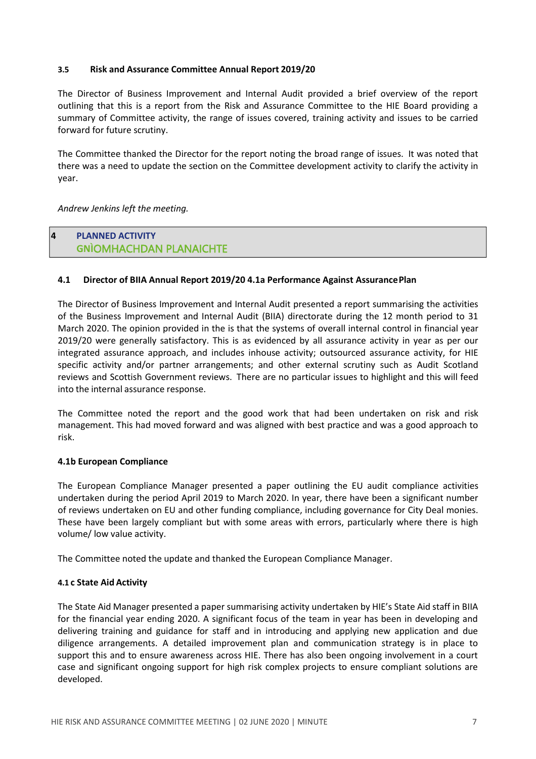#### **3.5 Risk and Assurance Committee Annual Report 2019/20**

The Director of Business Improvement and Internal Audit provided a brief overview of the report outlining that this is a report from the Risk and Assurance Committee to the HIE Board providing a summary of Committee activity, the range of issues covered, training activity and issues to be carried forward for future scrutiny.

The Committee thanked the Director for the report noting the broad range of issues. It was noted that there was a need to update the section on the Committee development activity to clarify the activity in year.

*Andrew Jenkins left the meeting.*

# **4 PLANNED ACTIVITY GNÌ**OMHACHDAN PLANAICHTE

### **4.1 Director of BIIA Annual Report 2019/20 4.1a Performance Against AssurancePlan**

The Director of Business Improvement and Internal Audit presented a report summarising the activities of the Business Improvement and Internal Audit (BIIA) directorate during the 12 month period to 31 March 2020. The opinion provided in the is that the systems of overall internal control in financial year 2019/20 were generally satisfactory. This is as evidenced by all assurance activity in year as per our integrated assurance approach, and includes inhouse activity; outsourced assurance activity, for HIE specific activity and/or partner arrangements; and other external scrutiny such as Audit Scotland reviews and Scottish Government reviews. There are no particular issues to highlight and this will feed into the internal assurance response.

The Committee noted the report and the good work that had been undertaken on risk and risk management. This had moved forward and was aligned with best practice and was a good approach to risk.

### **4.1b European Compliance**

The European Compliance Manager presented a paper outlining the EU audit compliance activities undertaken during the period April 2019 to March 2020. In year, there have been a significant number of reviews undertaken on EU and other funding compliance, including governance for City Deal monies. These have been largely compliant but with some areas with errors, particularly where there is high volume/ low value activity.

The Committee noted the update and thanked the European Compliance Manager.

### **4.1 c State Aid Activity**

The State Aid Manager presented a paper summarising activity undertaken by HIE's State Aid staff in BIIA for the financial year ending 2020. A significant focus of the team in year has been in developing and delivering training and guidance for staff and in introducing and applying new application and due diligence arrangements. A detailed improvement plan and communication strategy is in place to support this and to ensure awareness across HIE. There has also been ongoing involvement in a court case and significant ongoing support for high risk complex projects to ensure compliant solutions are developed.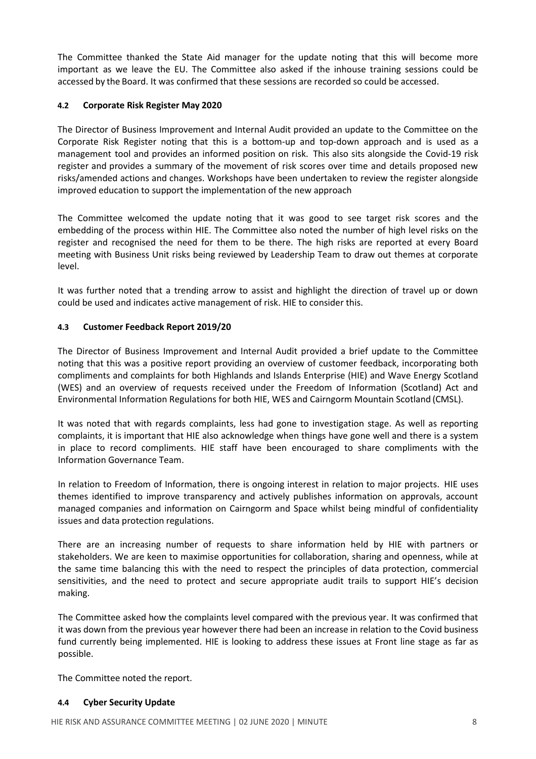The Committee thanked the State Aid manager for the update noting that this will become more important as we leave the EU. The Committee also asked if the inhouse training sessions could be accessed by the Board. It was confirmed that these sessions are recorded so could be accessed.

## **4.2 Corporate Risk Register May 2020**

The Director of Business Improvement and Internal Audit provided an update to the Committee on the Corporate Risk Register noting that this is a bottom-up and top-down approach and is used as a management tool and provides an informed position on risk. This also sits alongside the Covid-19 risk register and provides a summary of the movement of risk scores over time and details proposed new risks/amended actions and changes. Workshops have been undertaken to review the register alongside improved education to support the implementation of the new approach

The Committee welcomed the update noting that it was good to see target risk scores and the embedding of the process within HIE. The Committee also noted the number of high level risks on the register and recognised the need for them to be there. The high risks are reported at every Board meeting with Business Unit risks being reviewed by Leadership Team to draw out themes at corporate level.

It was further noted that a trending arrow to assist and highlight the direction of travel up or down could be used and indicates active management of risk. HIE to consider this.

### **4.3 Customer Feedback Report 2019/20**

The Director of Business Improvement and Internal Audit provided a brief update to the Committee noting that this was a positive report providing an overview of customer feedback, incorporating both compliments and complaints for both Highlands and Islands Enterprise (HIE) and Wave Energy Scotland (WES) and an overview of requests received under the Freedom of Information (Scotland) Act and Environmental Information Regulations for both HIE, WES and Cairngorm Mountain Scotland (CMSL).

It was noted that with regards complaints, less had gone to investigation stage. As well as reporting complaints, it is important that HIE also acknowledge when things have gone well and there is a system in place to record compliments. HIE staff have been encouraged to share compliments with the Information Governance Team.

In relation to Freedom of Information, there is ongoing interest in relation to major projects. HIE uses themes identified to improve transparency and actively publishes information on approvals, account managed companies and information on Cairngorm and Space whilst being mindful of confidentiality issues and data protection regulations.

There are an increasing number of requests to share information held by HIE with partners or stakeholders. We are keen to maximise opportunities for collaboration, sharing and openness, while at the same time balancing this with the need to respect the principles of data protection, commercial sensitivities, and the need to protect and secure appropriate audit trails to support HIE's decision making.

The Committee asked how the complaints level compared with the previous year. It was confirmed that it was down from the previous year however there had been an increase in relation to the Covid business fund currently being implemented. HIE is looking to address these issues at Front line stage as far as possible.

The Committee noted the report.

### **4.4 Cyber Security Update**